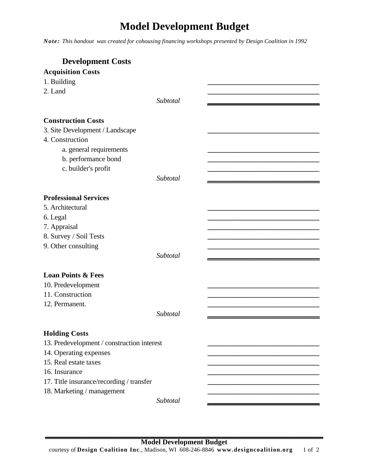## **Model Development Budget**

*Note: This handout was created for cohousing financing workshops presented by Design Coalition in 1992* 

| <b>Development Costs</b>                        |          |  |
|-------------------------------------------------|----------|--|
| <b>Acquisition Costs</b>                        |          |  |
| 1. Building                                     |          |  |
| 2. Land                                         |          |  |
|                                                 | Subtotal |  |
|                                                 |          |  |
| <b>Construction Costs</b>                       |          |  |
| 3. Site Development / Landscape                 |          |  |
| 4. Construction                                 |          |  |
| a. general requirements                         |          |  |
| b. performance bond                             |          |  |
| c. builder's profit                             |          |  |
|                                                 | Subtotal |  |
|                                                 |          |  |
| <b>Professional Services</b>                    |          |  |
| 5. Architectural                                |          |  |
| 6. Legal                                        |          |  |
| 7. Appraisal                                    |          |  |
| 8. Survey / Soil Tests                          |          |  |
| 9. Other consulting                             |          |  |
|                                                 | Subtotal |  |
|                                                 |          |  |
| <b>Loan Points &amp; Fees</b>                   |          |  |
| 10. Predevelopment                              |          |  |
| 11. Construction                                |          |  |
| 12. Permanent.                                  |          |  |
|                                                 | Subtotal |  |
|                                                 |          |  |
| <b>Holding Costs</b>                            |          |  |
| 13. Predevelopment / construction interest      |          |  |
|                                                 |          |  |
| 14. Operating expenses<br>15. Real estate taxes |          |  |
|                                                 |          |  |
| 16. Insurance                                   |          |  |
| 17. Title insurance/recording / transfer        |          |  |
| 18. Marketing / management                      |          |  |
|                                                 | Subtotal |  |